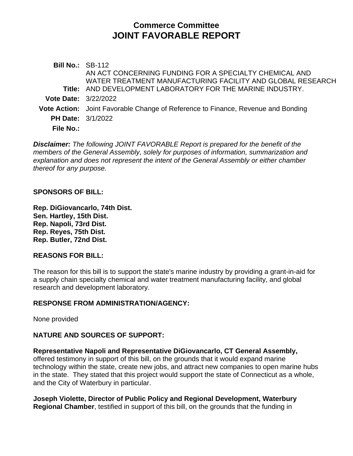# **Commerce Committee JOINT FAVORABLE REPORT**

**Bill No.:** SB-112 **Title:** AND DEVELOPMENT LABORATORY FOR THE MARINE INDUSTRY. AN ACT CONCERNING FUNDING FOR A SPECIALTY CHEMICAL AND WATER TREATMENT MANUFACTURING FACILITY AND GLOBAL RESEARCH **Vote Date:** 3/22/2022 **Vote Action:** Joint Favorable Change of Reference to Finance, Revenue and Bonding **PH Date:** 3/1/2022 **File No.:**

*Disclaimer: The following JOINT FAVORABLE Report is prepared for the benefit of the members of the General Assembly, solely for purposes of information, summarization and explanation and does not represent the intent of the General Assembly or either chamber thereof for any purpose.*

#### **SPONSORS OF BILL:**

**Rep. DiGiovancarlo, 74th Dist. Sen. Hartley, 15th Dist. Rep. Napoli, 73rd Dist. Rep. Reyes, 75th Dist. Rep. Butler, 72nd Dist.**

#### **REASONS FOR BILL:**

The reason for this bill is to support the state's marine industry by providing a grant-in-aid for a supply chain specialty chemical and water treatment manufacturing facility, and global research and development laboratory.

#### **RESPONSE FROM ADMINISTRATION/AGENCY:**

None provided

## **NATURE AND SOURCES OF SUPPORT:**

**Representative Napoli and Representative DiGiovancarlo, CT General Assembly,** offered testimony in support of this bill, on the grounds that it would expand marine technology within the state, create new jobs, and attract new companies to open marine hubs in the state. They stated that this project would support the state of Connecticut as a whole, and the City of Waterbury in particular.

**Joseph Violette, Director of Public Policy and Regional Development, Waterbury Regional Chamber**, testified in support of this bill, on the grounds that the funding in